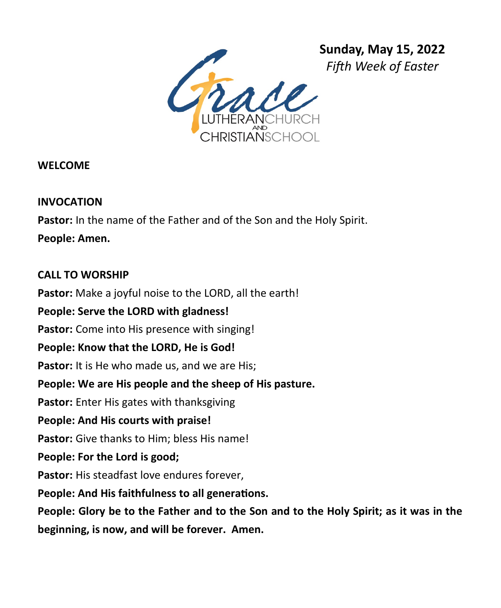

**WELCOME** 

## **INVOCATION**

**Pastor:** In the name of the Father and of the Son and the Holy Spirit.

**People: Amen.**

## **CALL TO WORSHIP**

**Pastor:** Make a joyful noise to the LORD, all the earth!

## **People: Serve the LORD with gladness!**

**Pastor:** Come into His presence with singing!

## **People: Know that the LORD, He is God!**

Pastor: It is He who made us, and we are His;

# **People: We are His people and the sheep of His pasture.**

**Pastor:** Enter His gates with thanksgiving

## **People: And His courts with praise!**

**Pastor:** Give thanks to Him; bless His name!

## **People: For the Lord is good;**

**Pastor:** His steadfast love endures forever,

## **People: And His faithfulness to all generations.**

**People: Glory be to the Father and to the Son and to the Holy Spirit; as it was in the** 

**beginning, is now, and will be forever. Amen.**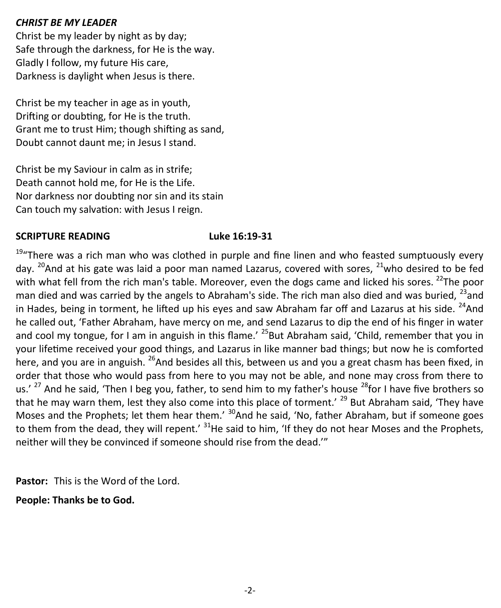## *CHRIST BE MY LEADER*

Christ be my leader by night as by day; Safe through the darkness, for He is the way. Gladly I follow, my future His care, Darkness is daylight when Jesus is there.

Christ be my teacher in age as in youth, Drifting or doubting, for He is the truth. Grant me to trust Him; though shifting as sand, Doubt cannot daunt me; in Jesus I stand.

Christ be my Saviour in calm as in strife; Death cannot hold me, for He is the Life. Nor darkness nor doubting nor sin and its stain Can touch my salvation: with Jesus I reign.

## **SCRIPTURE READING Luke 16:19-31**

 $19''$ There was a rich man who was clothed in purple and fine linen and who feasted sumptuously every day. <sup>20</sup>And at his gate was laid a poor man named Lazarus, covered with sores, <sup>21</sup>who desired to be fed with what fell from the rich man's table. Moreover, even the dogs came and licked his sores. <sup>22</sup>The poor man died and was carried by the angels to Abraham's side. The rich man also died and was buried,  $^{23}$ and in Hades, being in torment, he lifted up his eyes and saw Abraham far off and Lazarus at his side.  $^{24}$ And he called out, 'Father Abraham, have mercy on me, and send Lazarus to dip the end of his finger in water and cool my tongue, for I am in anguish in this flame.'  $^{25}$ But Abraham said, 'Child, remember that you in your lifetime received your good things, and Lazarus in like manner bad things; but now he is comforted here, and you are in anguish. <sup>26</sup>And besides all this, between us and you a great chasm has been fixed, in order that those who would pass from here to you may not be able, and none may cross from there to us.' <sup>27</sup> And he said, 'Then I beg you, father, to send him to my father's house <sup>28</sup>for I have five brothers so that he may warn them, lest they also come into this place of torment.<sup>' 29</sup> But Abraham said, 'They have Moses and the Prophets; let them hear them.' <sup>30</sup>And he said, 'No, father Abraham, but if someone goes to them from the dead, they will repent.' <sup>31</sup>He said to him, 'If they do not hear Moses and the Prophets, neither will they be convinced if someone should rise from the dead.'"

**Pastor:** This is the Word of the Lord.

**People: Thanks be to God.**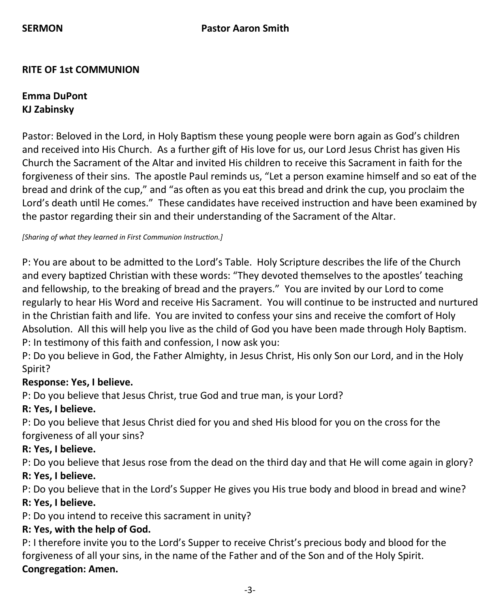## **RITE OF 1st COMMUNION**

## **Emma DuPont KJ Zabinsky**

Pastor: Beloved in the Lord, in Holy Baptism these young people were born again as God's children and received into His Church. As a further gift of His love for us, our Lord Jesus Christ has given His Church the Sacrament of the Altar and invited His children to receive this Sacrament in faith for the forgiveness of their sins. The apostle Paul reminds us, "Let a person examine himself and so eat of the bread and drink of the cup," and "as often as you eat this bread and drink the cup, you proclaim the Lord's death until He comes." These candidates have received instruction and have been examined by the pastor regarding their sin and their understanding of the Sacrament of the Altar.

*[Sharing of what they learned in First Communion Instruction.]*

P: You are about to be admitted to the Lord's Table. Holy Scripture describes the life of the Church and every baptized Christian with these words: "They devoted themselves to the apostles' teaching and fellowship, to the breaking of bread and the prayers." You are invited by our Lord to come regularly to hear His Word and receive His Sacrament. You will continue to be instructed and nurtured in the Christian faith and life. You are invited to confess your sins and receive the comfort of Holy Absolution. All this will help you live as the child of God you have been made through Holy Baptism. P: In testimony of this faith and confession, I now ask you:

P: Do you believe in God, the Father Almighty, in Jesus Christ, His only Son our Lord, and in the Holy Spirit?

## **Response: Yes, I believe.**

P: Do you believe that Jesus Christ, true God and true man, is your Lord?

## **R: Yes, I believe.**

P: Do you believe that Jesus Christ died for you and shed His blood for you on the cross for the forgiveness of all your sins?

## **R: Yes, I believe.**

P: Do you believe that Jesus rose from the dead on the third day and that He will come again in glory?

## **R: Yes, I believe.**

P: Do you believe that in the Lord's Supper He gives you His true body and blood in bread and wine?

## **R: Yes, I believe.**

P: Do you intend to receive this sacrament in unity?

## **R: Yes, with the help of God.**

P: I therefore invite you to the Lord's Supper to receive Christ's precious body and blood for the forgiveness of all your sins, in the name of the Father and of the Son and of the Holy Spirit. **Congregation: Amen.**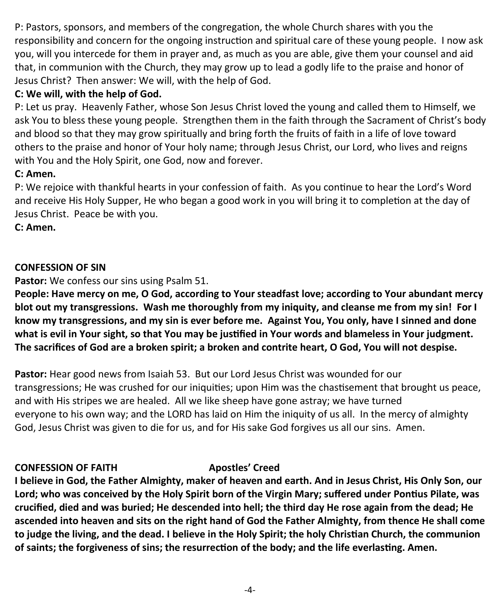P: Pastors, sponsors, and members of the congregation, the whole Church shares with you the responsibility and concern for the ongoing instruction and spiritual care of these young people. I now ask you, will you intercede for them in prayer and, as much as you are able, give them your counsel and aid that, in communion with the Church, they may grow up to lead a godly life to the praise and honor of Jesus Christ? Then answer: We will, with the help of God.

## **C: We will, with the help of God.**

P: Let us pray. Heavenly Father, whose Son Jesus Christ loved the young and called them to Himself, we ask You to bless these young people. Strengthen them in the faith through the Sacrament of Christ's body and blood so that they may grow spiritually and bring forth the fruits of faith in a life of love toward others to the praise and honor of Your holy name; through Jesus Christ, our Lord, who lives and reigns with You and the Holy Spirit, one God, now and forever.

## **C: Amen.**

P: We rejoice with thankful hearts in your confession of faith. As you continue to hear the Lord's Word and receive His Holy Supper, He who began a good work in you will bring it to completion at the day of Jesus Christ. Peace be with you.

**C: Amen.**

## **CONFESSION OF SIN**

**Pastor:** We confess our sins using Psalm 51.

**People: Have mercy on me, O God, according to Your steadfast love; according to Your abundant mercy blot out my transgressions. Wash me thoroughly from my iniquity, and cleanse me from my sin! For I know my transgressions, and my sin is ever before me. Against You, You only, have I sinned and done what is evil in Your sight, so that You may be justified in Your words and blameless in Your judgment. The sacrifices of God are a broken spirit; a broken and contrite heart, O God, You will not despise.** 

**Pastor:** Hear good news from Isaiah 53. But our Lord Jesus Christ was wounded for our transgressions; He was crushed for our iniquities; upon Him was the chastisement that brought us peace, and with His stripes we are healed. All we like sheep have gone astray; we have turned everyone to his own way; and the LORD has laid on Him the iniquity of us all. In the mercy of almighty God, Jesus Christ was given to die for us, and for His sake God forgives us all our sins. Amen.

## **CONFESSION OF FAITH Apostles' Creed**

**I believe in God, the Father Almighty, maker of heaven and earth. And in Jesus Christ, His Only Son, our Lord; who was conceived by the Holy Spirit born of the Virgin Mary; suffered under Pontius Pilate, was crucified, died and was buried; He descended into hell; the third day He rose again from the dead; He ascended into heaven and sits on the right hand of God the Father Almighty, from thence He shall come to judge the living, and the dead. I believe in the Holy Spirit; the holy Christian Church, the communion of saints; the forgiveness of sins; the resurrection of the body; and the life everlasting. Amen.**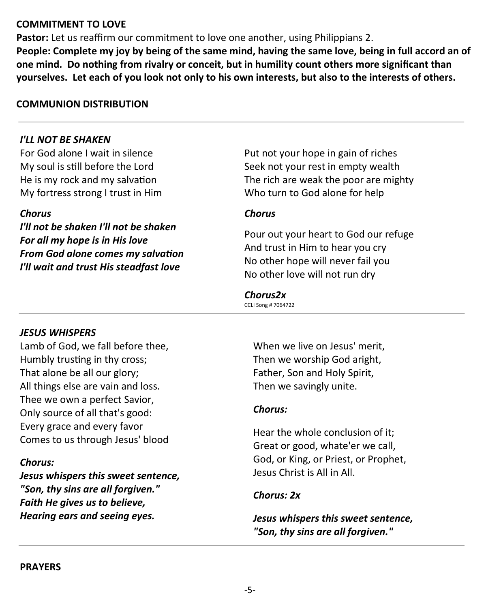## **COMMITMENT TO LOVE**

**Pastor:** Let us reaffirm our commitment to love one another, using Philippians 2. **People: Complete my joy by being of the same mind, having the same love, being in full accord an of one mind. Do nothing from rivalry or conceit, but in humility count others more significant than yourselves. Let each of you look not only to his own interests, but also to the interests of others.**

### **COMMUNION DISTRIBUTION**

### *I'LL NOT BE SHAKEN*

For God alone I wait in silence My soul is still before the Lord He is my rock and my salvation My fortress strong I trust in Him

#### *Chorus*

*I'll not be shaken I'll not be shaken For all my hope is in His love From God alone comes my salvation I'll wait and trust His steadfast love*

Put not your hope in gain of riches Seek not your rest in empty wealth The rich are weak the poor are mighty Who turn to God alone for help

#### *Chorus*

Pour out your heart to God our refuge And trust in Him to hear you cry No other hope will never fail you No other love will not run dry

#### *Chorus2x*

CCLI Song # 7064722

#### *JESUS WHISPERS*

Lamb of God, we fall before thee, Humbly trusting in thy cross; That alone be all our glory; All things else are vain and loss. Thee we own a perfect Savior, Only source of all that's good: Every grace and every favor Comes to us through Jesus' blood

#### *Chorus:*

*Jesus whispers this sweet sentence, "Son, thy sins are all forgiven." Faith He gives us to believe, Hearing ears and seeing eyes.*

When we live on Jesus' merit, Then we worship God aright, Father, Son and Holy Spirit, Then we savingly unite.

#### *Chorus:*

Hear the whole conclusion of it; Great or good, whate'er we call, God, or King, or Priest, or Prophet, Jesus Christ is All in All.

#### *Chorus: 2x*

*Jesus whispers this sweet sentence, "Son, thy sins are all forgiven."*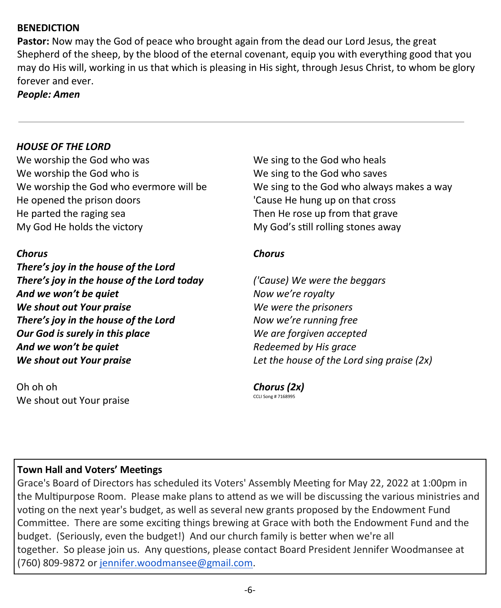## **BENEDICTION**

**Pastor:** Now may the God of peace who brought again from the dead our Lord Jesus, the great Shepherd of the sheep, by the blood of the eternal covenant, equip you with everything good that you may do His will, working in us that which is pleasing in His sight, through Jesus Christ, to whom be glory forever and ever.

#### *People: Amen*

### *HOUSE OF THE LORD*

We worship the God who was We worship the God who is We worship the God who evermore will be He opened the prison doors He parted the raging sea My God He holds the victory

#### *Chorus*

*There's joy in the house of the Lord There's joy in the house of the Lord today And we won't be quiet We shout out Your praise There's joy in the house of the Lord Our God is surely in this place And we won't be quiet We shout out Your praise*

Oh oh oh We shout out Your praise We sing to the God who heals We sing to the God who saves We sing to the God who always makes a way 'Cause He hung up on that cross Then He rose up from that grave My God's still rolling stones away

#### *Chorus*

*('Cause) We were the beggars Now we're royalty We were the prisoners Now we're running free We are forgiven accepted Redeemed by His grace Let the house of the Lord sing praise (2x)*

*Chorus (2x)* CCLI Song # 7168995

## **Town Hall and Voters' Meetings**

Grace's Board of Directors has scheduled its Voters' Assembly Meeting for May 22, 2022 at 1:00pm in the Multipurpose Room. Please make plans to attend as we will be discussing the various ministries and voting on the next year's budget, as well as several new grants proposed by the Endowment Fund Committee. There are some exciting things brewing at Grace with both the Endowment Fund and the budget. (Seriously, even the budget!) And our church family is better when we're all together. So please join us. Any questions, please contact Board President Jennifer Woodmansee at (760) 809-9872 or [jennifer.woodmansee@gmail.com.](mailto:jennifer.woodmansee@gmail.com)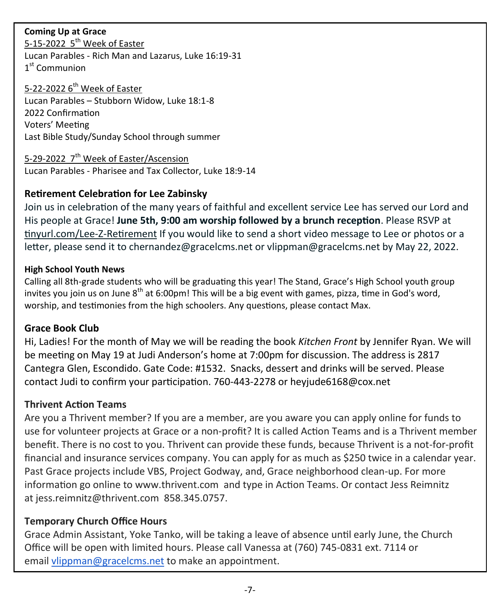## **Coming Up at Grace**

5-15-2022 5<sup>th</sup> Week of Easter Lucan Parables - Rich Man and Lazarus, Luke 16:19-31 1st Communion

# 5-22-2022 6<sup>th</sup> Week of Easter

Lucan Parables – Stubborn Widow, Luke 18:1-8 2022 Confirmation Voters' Meeting Last Bible Study/Sunday School through summer

## 5-29-2022 7<sup>th</sup> Week of Easter/Ascension

Lucan Parables - Pharisee and Tax Collector, Luke 18:9-14

## **Retirement Celebration for Lee Zabinsky**

Join us in celebration of the many years of faithful and excellent service Lee has served our Lord and His people at Grace! **June 5th, 9:00 am worship followed by a brunch reception**. Please RSVP at tinyurl.com/Lee-Z-Retirement If you would like to send a short video message to Lee or photos or a letter, please send it to chernandez@gracelcms.net or vlippman@gracelcms.net by May 22, 2022.

### **High School Youth News**

Calling all 8th-grade students who will be graduating this year! The Stand, Grace's High School youth group invites you join us on June 8<sup>th</sup> at 6:00pm! This will be a big event with games, pizza, time in God's word, worship, and testimonies from the high schoolers. Any questions, please contact Max.

## **Grace Book Club**

Hi, Ladies! For the month of May we will be reading the book *Kitchen Front* by Jennifer Ryan. We will be meeting on May 19 at Judi Anderson's home at 7:00pm for discussion. The address is 2817 Cantegra Glen, Escondido. Gate Code: #1532. Snacks, dessert and drinks will be served. Please contact Judi to confirm your participation. 760-443-2278 or heyjude6168@cox.net

## **Thrivent Action Teams**

Are you a Thrivent member? If you are a member, are you aware you can apply online for funds to use for volunteer projects at Grace or a non-profit? It is called Action Teams and is a Thrivent member benefit. There is no cost to you. Thrivent can provide these funds, because Thrivent is a not-for-profit financial and insurance services company. You can apply for as much as \$250 twice in a calendar year. Past Grace projects include VBS, Project Godway, and, Grace neighborhood clean-up. For more information go online to www.thrivent.com and type in Action Teams. Or contact Jess Reimnitz at jess.reimnitz@thrivent.com 858.345.0757.

## **Temporary Church Office Hours**

Grace Admin Assistant, Yoke Tanko, will be taking a leave of absence until early June, the Church Office will be open with limited hours. Please call Vanessa at (760) 745-0831 ext. 7114 or email [vlippman@gracelcms.net](mailto:vlippman@gracelcms.net) to make an appointment.